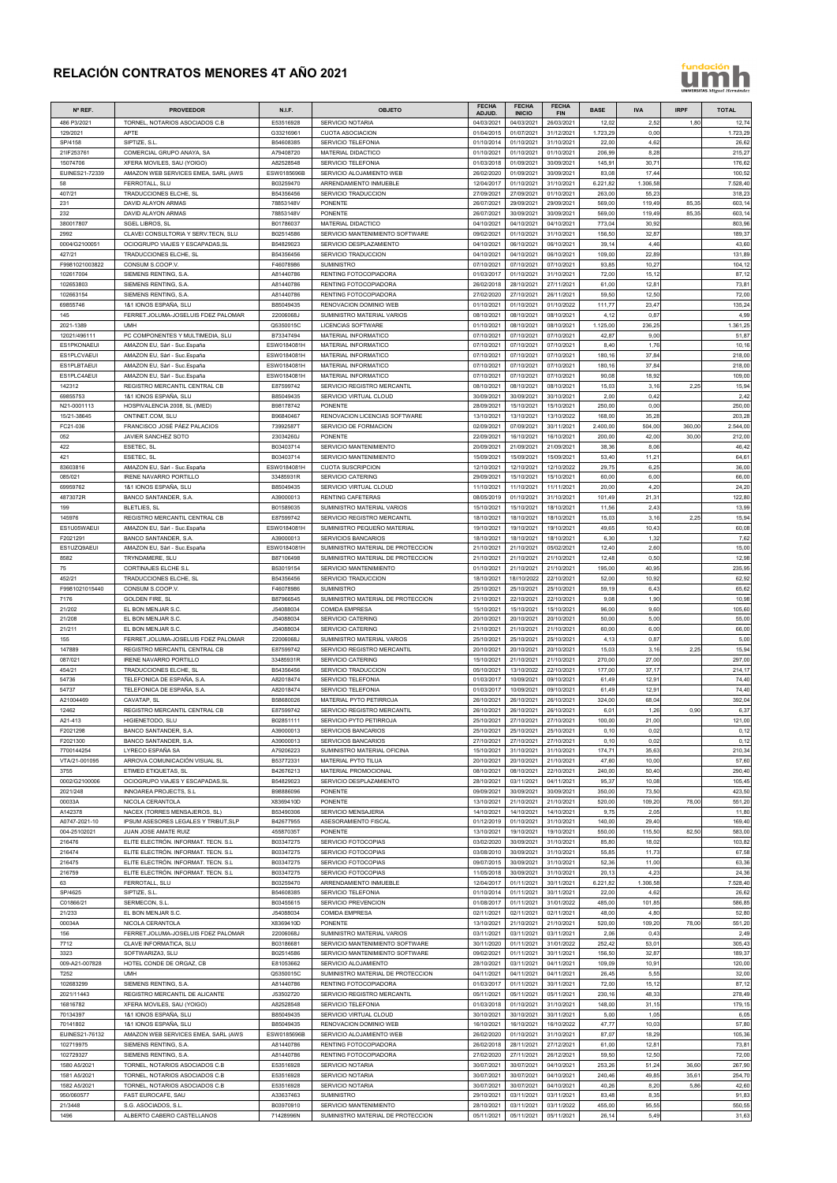## **RELACIÓN CONTRATOS MENORES 4T AÑO 2021**

## fundación h

| Nº REF.                           | <b>PROVEEDOR</b>                                                           | <b>N.I.F.</b>              | <b>OBJETO</b>                                                      | <b>FECHA</b><br>ADJUD.   | <b>FECHA</b><br><b>INICIO</b> | <b>FECHA</b><br><b>FIN</b> | <b>BASE</b>       | <b>IVA</b>        | <b>IRPF</b>   | <b>TOTAL</b>       |
|-----------------------------------|----------------------------------------------------------------------------|----------------------------|--------------------------------------------------------------------|--------------------------|-------------------------------|----------------------------|-------------------|-------------------|---------------|--------------------|
| 486 P3/2021                       | TORNEL, NOTARIOS ASOCIADOS C.B                                             | E53516928                  | <b>SERVICIO NOTARIA</b>                                            | 04/03/2021               | 04/03/2021                    | 26/03/2021                 | 12,02             | 2,52              | 1,80          | 12,74              |
| 129/2021<br>SP/4158               | APTE<br>SIPTIZE, S.L                                                       | G33216961<br>B54608385     | <b>CUOTA ASOCIACION</b><br>SERVICIO TELEFONIA                      | 01/04/2015<br>01/10/2014 | 01/07/2021<br>01/10/2021      | 31/12/2021<br>31/10/2021   | 1.723,29<br>22,00 | 0,00<br>4,62      |               | 1.723,29<br>26,62  |
| 21IF253761                        | COMERCIAL GRUPO ANAYA, SA                                                  | A79408720                  | MATERIAL DIDACTICO                                                 | 01/10/2021               | 01/10/2021                    | 01/10/2021                 | 206,99            | 8,28              |               | 215,27             |
| 15074706                          | XFERA MOVILES, SAU (YOIGO)                                                 | A82528548                  | SERVICIO TELEFONIA                                                 | 01/03/2018               | 01/09/2021                    | 30/09/2021                 | 145,9             | 30,71             |               | 176,62             |
| EUINES21-72339<br>58              | AMAZON WEB SERVICES EMEA, SARL (AWS<br>FERROTALL, SLU                      | ESW0185696B<br>B03259470   | SERVICIO ALOJAMIENTO WEB<br>ARRENDAMIENTO INMUEBLE                 | 26/02/2020               | 01/09/2021<br>01/10/2021      | 30/09/2021<br>31/10/2021   | 83,0<br>6.221,82  | 17,44<br>1.306,58 |               | 100,52<br>7.528,40 |
| 407/21                            | TRADUCCIONES ELCHE, SL                                                     | B54356456                  | SERVICIO TRADUCCION                                                | 12/04/2017<br>27/09/2021 | 27/09/2021                    | 01/10/2021                 | 263,00            | 55,23             |               | 318,23             |
| 231                               | DAVID ALAYON ARMAS                                                         | 78853148V                  | <b>PONENTE</b>                                                     | 26/07/2021               | 29/09/2021                    | 29/09/2021                 | 569,0             | 119,49            | 85,35         | 603,14             |
| 232                               | DAVID ALAYON ARMAS<br><b>SGEL LIBROS, SL</b>                               | 78853148V                  | <b>PONENTE</b>                                                     | 26/07/2021               | 30/09/2021                    | 30/09/2021                 | 569,0             | 119,49            | 85,35         | 603,14             |
| 380017807<br>2992                 | CLAVEI CONSULTORIA Y SERV.TECN, SLU                                        | B01786037<br>B02514586     | MATERIAL DIDACTICO<br>SERVICIO MANTENIMIENTO SOFTWARE              | 04/10/2021<br>09/02/2021 | 04/10/2021<br>01/10/2021      | 04/10/2021<br>31/10/2021   | 773,04<br>156,50  | 30,92<br>32,87    |               | 803,96<br>189,37   |
| 0004/G2100051                     | OCIOGRUPO VIAJES Y ESCAPADAS.SL                                            | B54829023                  | SERVICIO DESPLAZAMIENTO                                            | 04/10/2021               | 06/10/2021                    | 06/10/2021                 | 39,14             | 4,46              |               | 43,60              |
| 427/21                            | TRADUCCIONES ELCHE, SL                                                     | B54356456                  | SERVICIO TRADUCCION                                                | 04/10/2021               | 04/10/2021                    | 06/10/2021                 | 109,00            | 22,89             |               | 131,89             |
| F9981021003822<br>102617004       | CONSUM S.COOP.V.<br>SIEMENS RENTING, S.A.                                  | F46078986<br>A81440786     | <b>SUMINISTRO</b><br>RENTING FOTOCOPIADORA                         | 07/10/2021<br>01/03/2017 | 07/10/2021<br>01/10/2021      | 07/10/2021<br>31/10/2021   | 93,85<br>72,00    | 10,27<br>15,12    |               | 104,12<br>87,12    |
| 102653803                         | SIEMENS RENTING, S.A.                                                      | A81440786                  | RENTING FOTOCOPIADORA                                              | 26/02/2018               | 28/10/2021                    | 27/11/2021                 | 61,00             | 12,81             |               | 73,81              |
| 102663154                         | SIEMENS RENTING, S.A.                                                      | A81440786                  | RENTING FOTOCOPIADORA                                              | 27/02/2020               | 27/10/2021                    | 26/11/2021                 | 59,50             | 12,50             |               | 72,00              |
| 69855746<br>145                   | 1&1 IONOS ESPAÑA, SLU<br>FERRET.JOLUMA-JOSELUIS FDEZ PALOMAR               | B85049435<br>22006068J     | RENOVACION DOMINIO WEB<br>SUMINISTRO MATERIAL VARIOS               | 01/10/2021               | 01/10/2021<br>08/10/2021      | 01/10/2022<br>08/10/2021   | 111,77            | 23,47<br>0,87     |               | 135,24             |
| 2021-1389                         | <b>UMH</b>                                                                 | Q5350015C                  | <b>LICENCIAS SOFTWARE</b>                                          | 08/10/2021<br>01/10/2021 | 08/10/2021                    | 08/10/2021                 | 4,12<br>1.125,00  | 236,25            |               | 4,99<br>1.361,25   |
| 12021/496111                      | PC COMPONENTES Y MULTIMEDIA. SLU                                           | B73347494                  | MATERIAL INFORMATICO                                               | 07/10/2021               | 07/10/2021                    | 07/10/2021                 | 42,87             | 9,00              |               | 51,87              |
| ES1PKONAEUI                       | AMAZON EU, Sàrl - Suc.España                                               | ESW0184081H                | <b>MATERIAL INFORMATICO</b>                                        | 07/10/2021               | 07/10/2021                    | 07/10/2021                 | 8,40              | 1,76              |               | 10,16              |
| <b>ES1PLCVAEUI</b><br>ES1PLBTAEUI | AMAZON EU, Sàrl - Suc.España<br>AMAZON EU, Sàrl - Suc.España               | ESW0184081H<br>ESW0184081H | MATERIAL INFORMATICO<br>MATERIAL INFORMATICO                       | 07/10/2021<br>07/10/2021 | 07/10/2021<br>07/10/2021      | 07/10/2021<br>07/10/2021   | 180,1<br>180,16   | 37,84<br>37,84    |               | 218,00<br>218,00   |
| ES1PLC4AEUI                       | AMAZON EU, Sàrl - Suc.España                                               | ESW0184081H                | MATERIAL INFORMATICO                                               | 07/10/2021               | 07/10/2021                    | 07/10/2021                 | 90,08             | 18,92             |               | 109,00             |
| 142312                            | REGISTRO MERCANTIL CENTRAL CB                                              | E87599742                  | SERVICIO REGISTRO MERCANTIL                                        | 08/10/2021               | 08/10/2021                    | 08/10/2021                 | 15,03             | 3,16              | 2,25          | 15,94              |
| 69855753<br>N21-0001113           | 1&1 IONOS ESPAÑA, SLU                                                      | B85049435                  | SERVICIO VIRTUAL CLOUD<br><b>PONENTE</b>                           | 30/09/2021<br>28/09/2021 | 30/09/2021<br>15/10/2021      | 30/10/2021<br>15/10/2021   | 2,00<br>250,00    | 0,42<br>0,00      |               | 2,42<br>250,00     |
| 15/21-38645                       | HOSPIVALENCIA 2008, SL (IMED)<br>ONTINET.COM, SLU                          | B98178742<br>B96840467     | RENOVACION LICENCIAS SOFTWARE                                      | 13/10/2021               | 13/10/2021                    | 13/10/2022                 | 168,0             | 35,28             |               | 203,28             |
| FC21-036                          | FRANCISCO JOSÉ PÁEZ PALACIOS                                               | 73992587T                  | SERVICIO DE FORMACION                                              | 02/09/2021               | 07/09/2021                    | 30/11/2021                 | 2.400,0           | 504,00            | 360,00        | 2.544,00           |
| 052                               | JAVIER SANCHEZ SOTO                                                        | 23034260J                  | <b>PONENTE</b>                                                     | 22/09/2021               | 16/10/2021                    | 16/10/2021                 | 200,00            | 42,00             | 30,00         | 212,00             |
| 422<br>421                        | ESETEC, SL<br>ESETEC, SL                                                   | B03403714<br>B03403714     | SERVICIO MANTENIMIENTO<br>SERVICIO MANTENIMIENTO                   | 20/09/2021<br>15/09/2021 | 21/09/2021<br>15/09/2021      | 21/09/2021<br>15/09/2021   | 38,36<br>53,40    | 8,06<br>11,21     |               | 46,42<br>64,61     |
| 83603816                          | AMAZON EU, Sàrl - Suc.España                                               | ESW0184081H                | <b>CUOTA SUSCRIPCION</b>                                           | 12/10/2021               | 12/10/2021                    | 12/10/2022                 | 29,75             | 6,25              |               | 36,00              |
| 085/021                           | <b>IRENE NAVARRO PORTILLO</b>                                              | 33485931R                  | <b>SERVICIO CATERING</b>                                           | 29/09/2021               | 15/10/2021                    | 15/10/2021                 | 60,00             | 6,00              |               | 66,00              |
| 69959762<br>4873072R              | 1&1 IONOS ESPAÑA, SLU<br>BANCO SANTANDER, S.A.                             | B85049435<br>A39000013     | SERVICIO VIRTUAL CLOUD<br>RENTING CAFETERAS                        | 11/10/2021<br>08/05/2019 | 11/10/2021<br>01/10/2021      | 11/11/2021<br>31/10/2021   | 20,00<br>101,49   | 4,20<br>21,31     |               | 24,20<br>122,80    |
| 199                               | <b>BLETLIES, SL</b>                                                        | B01589035                  | SUMINISTRO MATERIAL VARIOS                                         | 15/10/2021               | 15/10/2021                    | 18/10/2021                 | 11,56             | 2,43              |               | 13,99              |
| 145976                            | REGISTRO MERCANTIL CENTRAL CB                                              | E87599742                  | SERVICIO REGISTRO MERCANTIL                                        | 18/10/2021               | 18/10/2021                    | 18/10/2021                 | 15,03             | 3,16              | 2,25          | 15,94              |
| ES1U05WAEUI                       | AMAZON EU, Sàrl - Suc.España                                               | ESW0184081H                | SUMINISTRO PEQUEÑO MATERIAL                                        | 19/10/2021               | 19/10/2021                    | 19/10/2021                 | 49,65             | 10,43             |               | 60,08              |
| F2021291<br>ES1UZQ9AEUI           | BANCO SANTANDER, S.A.<br>AMAZON EU, Sàrl - Suc.España                      | A39000013<br>ESW0184081H   | <b>SERVICIOS BANCARIOS</b><br>SUMINISTRO MATERIAL DE PROTECCION    | 18/10/2021<br>21/10/2021 | 18/10/2021<br>21/10/2021      | 18/10/2021<br>05/02/2021   | 6,30<br>12,40     | 1,32<br>2,60      |               | 7,62<br>15,00      |
| 8582                              | TRYNDAMERE, SLU                                                            | B87106498                  | SUMINISTRO MATERIAL DE PROTECCION                                  | 21/10/2021               | 21/10/2021                    | 21/10/2021                 | 12,48             | 0,50              |               | 12,98              |
| 75                                | <b>CORTINAJES ELCHE S.L</b>                                                | B53019154                  | SERVICIO MANTENIMIENTO                                             | 01/10/2021               | 21/10/2021                    | 21/10/2021                 | 195,00            | 40,95             |               | 235,95             |
| 452/21<br>F9981021015440          | TRADUCCIONES ELCHE, SL<br>CONSUM S.COOP.V.                                 | B54356456<br>F46078986     | SERVICIO TRADUCCION<br><b>SUMINISTRO</b>                           | 18/10/2021<br>25/10/2021 | 18//10/2022<br>25/10/2021     | 22/10/2021<br>25/10/2021   | 52,00<br>59,19    | 10,92<br>6,43     |               | 62,92<br>65,62     |
| 7176                              | <b>GOLDEN FIRE, SL</b>                                                     | B87966545                  | SUMINISTRO MATERIAL DE PROTECCION                                  | 21/10/2021               | 22/10/2021                    | 22/10/2021                 | 9,08              | 1,90              |               | 10,98              |
| 21/202                            | EL BON MENJAR S.C.                                                         | J54088034                  | <b>COMIDA EMPRESA</b>                                              | 15/10/2021               | 15/10/2021                    | 15/10/2021                 | 96,00             | 9,60              |               | 105,60             |
| 21/208                            | EL BON MENJAR S.C.                                                         | J54088034                  | <b>SERVICIO CATERING</b>                                           | 20/10/2021               | 20/10/2021                    | 20/10/2021                 | 50,00             | 5,00              |               | 55,00              |
| 21/211<br>155                     | EL BON MENJAR S.C.<br>FERRET.JOLUMA-JOSELUIS FDEZ PALOMAR                  | J54088034<br>22006068J     | <b>SERVICIO CATERING</b><br>SUMINISTRO MATERIAL VARIOS             | 21/10/2021<br>25/10/2021 | 21/10/2021<br>25/10/2021      | 21/10/2021<br>25/10/2021   | 60,00<br>4,13     | 6,00<br>0,87      |               | 66,00<br>5,00      |
| 147889                            | REGISTRO MERCANTIL CENTRAL CB                                              | E87599742                  | SERVICIO REGISTRO MERCANTIL                                        | 20/10/2021               | 20/10/2021                    | 20/10/2021                 | 15,03             | 3,16              | 2,25          | 15,94              |
| 087/021                           | <b>IRENE NAVARRO PORTILLO</b>                                              | 33485931R                  | <b>SERVICIO CATERING</b>                                           | 15/10/2021               | 21/10/2021                    | 21/10/2021                 | 270,0             | 27,00             |               | 297,00             |
| 454/21<br>54736                   | TRADUCCIONES ELCHE, SL<br>TELEFONICA DE ESPAÑA, S.A.                       | B54356456<br>A82018474     | SERVICIO TRADUCCION<br>SERVICIO TELEFONIA                          | 05/10/2021<br>01/03/2017 | 13/10/2022<br>10/09/2021      | 22/10/2021<br>09/10/2021   | 177,00<br>61,49   | 37,17<br>12,91    |               | 214,17<br>74,40    |
| 54737                             | TELEFONICA DE ESPAÑA, S.A.                                                 | A82018474                  | SERVICIO TELEFONIA                                                 | 01/03/2017               | 10/09/2021                    | 09/10/2021                 | 61,49             | 12,91             |               | 74,40              |
| A21004469                         | CAVATAP, SL                                                                | B58680026                  | MATERIAL PYTO PETIRROJA                                            | 26/10/2021               | 26/10/2021                    | 26/10/2021                 | 324,00            | 68,04             |               | 392,04             |
| 12462                             | REGISTRO MERCANTIL CENTRAL CB                                              | E87599742                  | SERVICIO REGISTRO MERCANTIL                                        | 26/10/2021               | 26/10/2021                    | 26/10/2021                 | 6,01              | 1,26              | 0,90          | 6,37               |
| A21-413<br>F2021298               | HIGIENETODO, SLU<br>BANCO SANTANDER, S.A.                                  | B02851111<br>A39000013     | SERVICIO PYTO PETIRROJA<br><b>SERVICIOS BANCARIOS</b>              | 25/10/2021<br>25/10/2021 | 27/10/2021<br>25/10/2021      | 27/10/2021<br>25/10/2021   | 100,00<br>0,10    | 21,00<br>0,02     |               | 121,00<br>0,12     |
| F2021300                          | BANCO SANTANDER, S.A.                                                      | A39000013                  | <b>SERVICIOS BANCARIOS</b>                                         | 27/10/2021               | 27/10/2021                    | 27/10/2021                 | 0,10              | 0,02              |               | 0,12               |
| 7700144254                        | LYRECO ESPAÑA SA                                                           | A79206223                  | SUMINISTRO MATERIAL OFICINA                                        | 15/10/2021               | 31/10/2021                    | 31/10/2021                 | 174,7             | 35,63             |               | 210,34             |
| VTA/21-001095<br>3755             | ARROVA COMUNICACIÓN VISUAL SL<br>ETIMED ETIQUETAS, SL                      | B53772331<br>B42676213     | MATERIAL PYTO TILUA<br>MATERIAL PROMOCIONAL                        | 20/10/2021<br>08/10/2021 | 20/10/2021<br>08/10/2021      | 21/10/2021<br>22/10/2021   | 47,60<br>240,00   | 10,00<br>50,40    |               | 57,60<br>290,40    |
| 0002/G2100006                     | OCIOGRUPO VIAJES Y ESCAPADAS, SL                                           | B54829023                  | SERVICIO DESPLAZAMIENTO                                            | 28/10/2021               | 03/11/2021                    | 04/11/2021                 | 95,3              | 10,08             |               | 105,45             |
| 2021/248                          | INNOAREA PROJECTS, S.L.                                                    | B98886096                  | <b>PONENTE</b>                                                     | 09/09/2021               | 30/09/2021                    | 30/09/2021                 | 350,0             | 73,50             |               | 423,50             |
| 00033A<br>A142378                 | NICOLA CERANTOLA<br>NACEX (TORRES MENSAJEROS, SL)                          | X8369410D<br>B53490306     | <b>PONENTE</b><br>SERVICIO MENSAJERIA                              | 13/10/2021<br>14/10/2021 | 21/10/2021<br>14/10/2021      | 21/10/2021<br>14/10/2021   | 520,00<br>9,75    | 109,20<br>2,05    | 78,00         | 551,20<br>11,80    |
| A0747-2021-10                     | IPSUM ASESORES LEGALES Y TRIBUT, SLP                                       | B42677955                  | ASESORAMIENTO FISCAL                                               | 01/12/2019               | 01/10/2021                    | 31/10/2021                 | 140,00            | 29,40             |               | 169,40             |
| 004-25102021                      | JUAN JOSE AMATE RUIZ                                                       | 45587035T                  | <b>PONENTE</b>                                                     | 13/10/2021               | 19/10/2021                    | 19/10/2021                 | 550,00            | 115,50            | 82,50         | 583,00             |
| 216476<br>216474                  | ELITE ELECTRÓN. INFORMAT. TECN. S.L<br>ELITE ELECTRÓN. INFORMAT. TECN. S.L | B03347275<br>B03347275     | SERVICIO FOTOCOPIAS<br>SERVICIO FOTOCOPIAS                         | 03/02/2020<br>03/08/2010 | 30/09/2021<br>30/09/2021      | 31/10/2021<br>31/10/2021   | 85,80<br>55,85    | 18,02<br>11,73    |               | 103,82<br>67,58    |
| 216475                            | ELITE ELECTRÓN. INFORMAT. TECN. S.L                                        | B03347275                  | SERVICIO FOTOCOPIAS                                                | 09/07/2015               | 30/09/2021                    | 31/10/2021                 | 52,36             | 11,00             |               | 63,36              |
| 216759                            | ELITE ELECTRÓN. INFORMAT. TECN. S.L                                        | B03347275                  | SERVICIO FOTOCOPIAS                                                | 11/05/2018               | 30/09/2021                    | 31/10/2021                 | 20,13             | 4,23              |               | 24,36              |
| 63                                | FERROTALL, SLU                                                             | B03259470                  | ARRENDAMIENTO INMUEBLE                                             | 12/04/2017               | 01/11/2021                    | 30/11/2021                 | 6.221,8           | 1.306,58          |               | 7.528,40           |
| SP/4625<br>C01866/21              | SIPTIZE, S.L<br>SERMECON, S.L.                                             | B54608385<br>B03455615     | SERVICIO TELEFONIA<br>SERVICIO PREVENCION                          | 01/10/2014<br>01/08/2017 | 01/11/2021<br>01/11/2021      | 30/11/2021<br>31/01/2022   | 22,00<br>485,00   | 4,62<br>101,85    |               | 26,62<br>586,85    |
| 21/233                            | EL BON MENJAR S.C.                                                         | J54088034                  | <b>COMIDA EMPRESA</b>                                              | 02/11/2021               | 02/11/2021                    | 02/11/2021                 | 48,00             | 4,80              |               | 52,80              |
| 00034A                            | NICOLA CERANTOLA                                                           | X8369410D                  | <b>PONENTE</b>                                                     | 13/10/2021               | 21/10/2021                    | 21/10/2021                 | 520,00            | 109,20            | 78,00         | 551,20             |
| 156<br>7712                       | FERRET.JOLUMA-JOSELUIS FDEZ PALOMAR                                        | 22006068J<br>B03186681     | SUMINISTRO MATERIAL VARIOS                                         | 03/11/2021<br>30/11/2020 | 03/11/2021<br>01/11/2021      | 03/11/2021<br>31/01/2022   | 2,06<br>252,42    | 0,43<br>53,01     |               | 2,49<br>305,43     |
| 3323                              | CLAVE INFORMATICA, SLU<br>SOFTWARIZA3, SLU                                 | B02514586                  | SERVICIO MANTENIMIENTO SOFTWARE<br>SERVICIO MANTENIMIENTO SOFTWARE | 09/02/2021               | 01/11/2021                    | 30/11/2021                 | 156,50            | 32,87             |               | 189,37             |
| 009-A21-007828                    | HOTEL CONDE DE ORGAZ, CB                                                   | E81053662                  | SERVICIO ALOJAMIENTO                                               | 28/10/2021               | 03/11/2021                    | 04/11/2021                 | 109,09            | 10,91             |               | 120,00             |
| T252                              | <b>UMH</b>                                                                 | Q5350015C                  | SUMINISTRO MATERIAL DE PROTECCION                                  | 04/11/2021               | 04/11/2021                    | 04/11/2021                 | 26,45             | 5,55              |               | 32,00              |
| 102683299<br>2021/11443           | SIEMENS RENTING, S.A.<br>REGISTRO MERCANTIL DE ALICANTE                    | A81440786<br>J53502720     | RENTING FOTOCOPIADORA<br>SERVICIO REGISTRO MERCANTIL               | 01/03/2017<br>05/11/2021 | 01/11/2021<br>05/11/2021      | 30/11/2021<br>05/11/2021   | 72,00<br>230,16   | 15,12<br>48,33    |               | 87,12<br>278,49    |
| 16816782                          | XFERA MOVILES, SAU (YOIGO)                                                 | A82528548                  | SERVICIO TELEFONIA                                                 | 01/03/2018               | 01/10/2021                    | 31/10/2021                 | 148,00            | 31,15             |               | 179,15             |
| 70134397                          | 1&1 IONOS ESPAÑA, SLU                                                      | B85049435                  | SERVICIO VIRTUAL CLOUD                                             | 30/10/2021               | 30/10/2021                    | 30/11/2021                 | 5,00              | 1,05              |               | 6,05               |
| 70141802<br>EUINES21-76132        | 1&1 IONOS ESPAÑA, SLU<br>AMAZON WEB SERVICES EMEA, SARL (AWS)              | B85049435<br>ESW0185696B   | RENOVACION DOMINIO WEB<br>SERVICIO ALOJAMIENTO WEB                 | 16/10/2021<br>26/02/2020 | 16/10/2021<br>01/10/2021      | 16/10/2022<br>31/10/2021   | 47,77<br>87,07    | 10,03<br>18,29    |               | 57,80<br>105,36    |
| 102719975                         | SIEMENS RENTING, S.A.                                                      | A81440786                  | RENTING FOTOCOPIADORA                                              | 26/02/2018               | 28/11/2021                    | 27/12/2021                 | 61,00             | 12,81             |               | 73,81              |
| 102729327                         | SIEMENS RENTING, S.A.                                                      | A81440786                  | RENTING FOTOCOPIADORA                                              | 27/02/2020               | 27/11/2021                    | 26/12/2021                 | 59,50             | 12,50             |               | 72,00              |
| 1580 A5/2021                      | TORNEL, NOTARIOS ASOCIADOS C.B                                             | E53516928                  | SERVICIO NOTARIA                                                   | 30/07/2021               | 30/07/2021                    | 04/10/2021                 | 253,26            | 51,24             | 36,60         | 267,90             |
| 1581 A5/2021<br>1582 A5/2021      | TORNEL, NOTARIOS ASOCIADOS C.B<br>TORNEL, NOTARIOS ASOCIADOS C.B           | E53516928<br>E53516928     | SERVICIO NOTARIA<br>SERVICIO NOTARIA                               | 30/07/2021<br>30/07/2021 | 30/07/2021<br>30/07/2021      | 04/10/2021<br>04/10/2021   | 240,46<br>40,26   | 49,85<br>8,20     | 35,61<br>5,86 | 254,70<br>42,60    |
| 950/060577                        | FAST EUROCAFE, SAU                                                         | A33637463                  | <b>SUMINISTRO</b>                                                  | 29/10/2021               | 03/11/2021                    | 03/11/2021                 | 83,48             | 8,35              |               | 91,83              |
| 21/3448                           | S.G. ASOCIADOS, S.L.                                                       | B03970910                  | SERVICIO MANTENIMIENTO                                             | 28/10/2021               | 03/11/2021                    | 03/11/2022                 | 455,00            | 95,55             |               | 550,55             |
| 1496                              | ALBERTO CABERO CASTELLANOS                                                 | 71428996N                  | SUMINISTRO MATERIAL DE PROTECCION                                  | 05/11/2021               | 05/11/2021                    | 05/11/2021                 | 26,14             | 5,49              |               | 31,63              |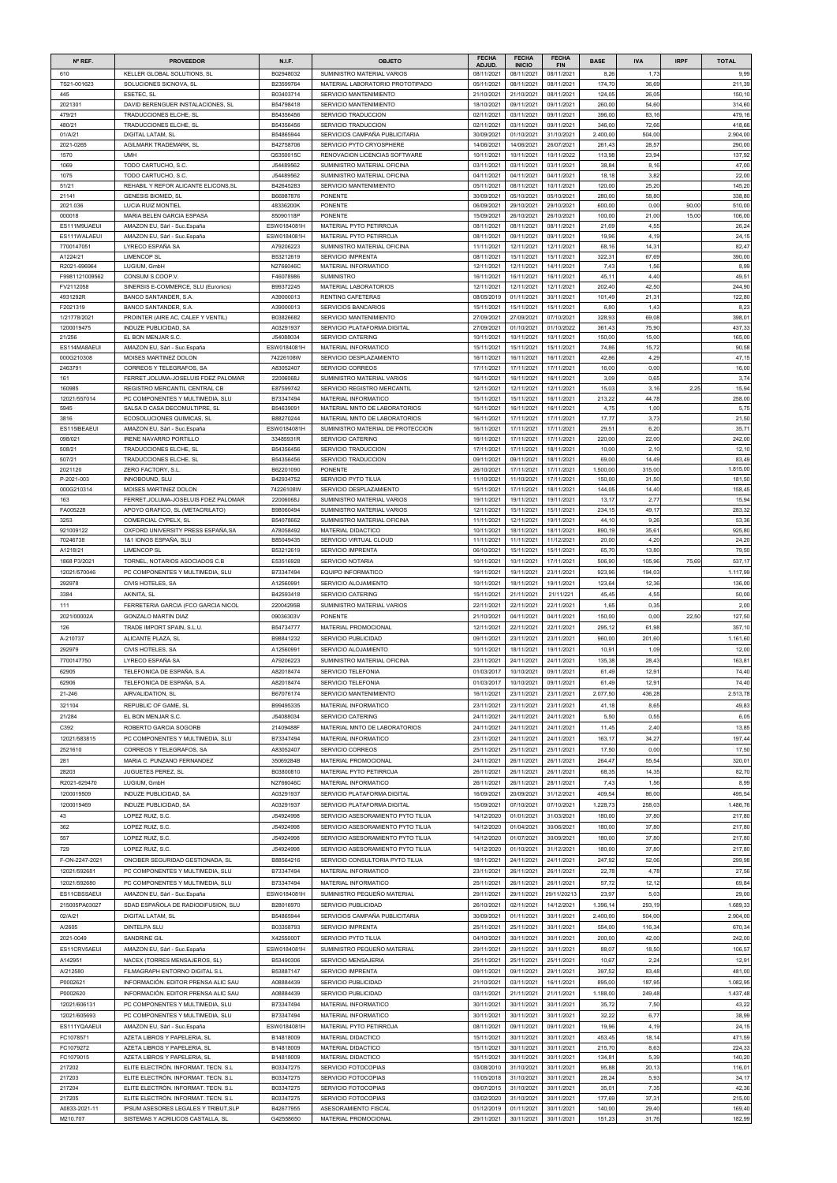| Nº REF.                        | <b>PROVEEDOR</b>                                                             | <b>N.I.F.</b>            | <b>OBJETO</b>                                                    | <b>FECHA</b>             | <b>FECHA</b>                | <b>FECHA</b>             | <b>BASE</b>        | <b>IVA</b>      | <b>IRPF</b> | <b>TOTAL</b>       |
|--------------------------------|------------------------------------------------------------------------------|--------------------------|------------------------------------------------------------------|--------------------------|-----------------------------|--------------------------|--------------------|-----------------|-------------|--------------------|
| 610                            | KELLER GLOBAL SOLUTIONS, SL                                                  | B02948032                | SUMINISTRO MATERIAL VARIOS                                       | ADJUD.<br>08/11/2021     | <b>INICIO</b><br>08/11/2021 | <b>FIN</b><br>08/11/2021 | 8,26               | 1,73            |             | 9,99               |
| TS21-001623                    | SOLUCIONES SICNOVA, SL                                                       | B23599764                | MATERIAL LABORATORIO PROTOTIPADO                                 | 05/11/2021               | 08/11/2021                  | 08/11/2021               | 174,70             | 36,69           |             | 211,39             |
| 445<br>2021301                 | ESETEC, SL<br>DAVID BERENGUER INSTALACIONES, SL                              | B03403714<br>B54798418   | SERVICIO MANTENIMIENTO<br>SERVICIO MANTENIMIENTO                 | 21/10/2021<br>18/10/2021 | 21/10/2021<br>09/11/2021    | 08/11/2021<br>09/11/2021 | 124,0<br>260,00    | 26,05<br>54,60  |             | 150,10<br>314,60   |
| 479/21                         | TRADUCCIONES ELCHE, SL                                                       | B54356456                | SERVICIO TRADUCCION                                              | 02/11/2021               | 03/11/2021                  | 09/11/2021               | 396,00             | 83,16           |             | 479,16             |
| 480/21                         | TRADUCCIONES ELCHE, SL                                                       | B54356456                | SERVICIO TRADUCCION                                              | 02/11/2021               | 03/11/2021                  | 09/11/2021               | 346,00             | 72,66           |             | 418,66             |
| 01/A/21<br>2021-0265           | <b>DIGITAL LATAM, SL</b><br>AGILMARK TRADEMARK, SL                           | B54865944<br>B42758706   | SERVICIOS CAMPAÑA PUBLICITARIA<br>SERVICIO PYTO CRYOSPHERE       | 30/09/2021<br>14/06/2021 | 01/10/2021<br>14/06/2021    | 31/10/2021<br>26/07/2021 | 2.400,00<br>261,43 | 504,00<br>28,57 |             | 2.904,00<br>290,00 |
| 1570                           | <b>UMH</b>                                                                   | Q5350015C                | RENOVACION LICENCIAS SOFTWARE                                    | 10/11/2021               | 10/11/2021                  | 10/11/2022               | 113,98             | 23,94           |             | 137,92             |
| 1069                           | TODO CARTUCHO, S.C.                                                          | J54489562                | SUMINISTRO MATERIAL OFICINA                                      | 03/11/2021               | 03/11/2021                  | 03/11/2021               | 38,84              | 8,16            |             | 47,00              |
| 1075<br>51/21                  | TODO CARTUCHO, S.C.<br>REHABIL Y REFOR ALICANTE ELICONS, SL                  | J54489562<br>B42645283   | SUMINISTRO MATERIAL OFICINA<br>SERVICIO MANTENIMIENTO            | 04/11/2021<br>05/11/2021 | 04/11/2021<br>08/11/2021    | 04/11/2021<br>10/11/2021 | 18,18<br>120,00    | 3,82<br>25,20   |             | 22,00<br>145,20    |
| 21141                          | <b>GENESIS BIOMED, SL</b>                                                    | B66987876                | <b>PONENTE</b>                                                   | 30/09/2021               | 05/10/2021                  | 05/10/2021               | 280,00             | 58,80           |             | 338,80             |
| 2021.036                       | <b>LUCIA RUIZ MONTIEL</b>                                                    | 48336200K                | <b>PONENTE</b>                                                   | 06/09/2021               | 29/10/2021                  | 29/10/2021               | 600,00             | 0,00            | 90,00       | 510,00             |
| 000018<br>ES111M9UAEUI         | MARIA BELEN GARCIA ESPASA<br>AMAZON EU, Sàrl - Suc.España                    | 85090118P<br>ESW0184081H | <b>PONENTE</b><br>MATERIAL PYTO PETIRROJA                        | 15/09/2021<br>08/11/2021 | 26/10/2021<br>08/11/2021    | 26/10/2021<br>08/11/2021 | 100,00<br>21,69    | 21,00<br>4,55   | 15,00       | 106,00<br>26,24    |
| ES111WALAEUI                   | AMAZON EU, Sàrl - Suc.España                                                 | ESW0184081H              | MATERIAL PYTO PETIRROJA                                          | 08/11/2021               | 09/11/2021                  | 09/11/2021               | 19,96              | 4,19            |             | 24,15              |
| 7700147051                     | LYRECO ESPAÑA SA                                                             | A79206223                | SUMINISTRO MATERIAL OFICINA                                      | 11/11/2021               | 12/11/2021                  | 12/11/2021               | 68,16              | 14,31           |             | 82,47              |
| A1224/21                       | <b>LIMENCOP SL</b><br>LUGIUM, GmbH                                           | B53212619                | <b>SERVICIO IMPRENTA</b>                                         | 08/11/2021               | 15/11/2021                  | 15/11/2021<br>14/11/2021 | 322,3              | 67,69           |             | 390,00             |
| R2021-696964<br>F9981121009562 | CONSUM S.COOP.V.                                                             | N2766046C<br>F46078986   | MATERIAL INFORMATICO<br><b>SUMINISTRO</b>                        | 12/11/2021<br>16/11/2021 | 12/11/2021<br>16/11/2021    | 16/11/2021               | 7,43<br>45,1'      | 1,56<br>4,40    |             | 8,99<br>49,51      |
| FV2112058                      | SINERSIS E-COMMERCE, SLU (Euronics)                                          | B99372245                | MATERIAL LABORATORIOS                                            | 12/11/2021               | 12/11/2021                  | 12/11/2021               | 202,40             | 42,50           |             | 244,90             |
| 4931292R                       | BANCO SANTANDER, S.A.                                                        | A39000013                | <b>RENTING CAFETERAS</b>                                         | 08/05/2019               | 01/11/2021                  | 30/11/2021               | 101,49             | 21,31           |             | 122,80             |
| F2021319<br>1/21778/2021       | BANCO SANTANDER, S.A.<br>PROINTER (AIRE AC, CALEF Y VENTIL)                  | A39000013<br>B03826682   | SERVICIOS BANCARIOS<br>SERVICIO MANTENIMIENTO                    | 15/11/2021<br>27/09/2021 | 15/11/2021<br>27/09/2021    | 15/11/2021<br>07/10/2021 | 6,80<br>328,93     | 1,43<br>69,08   |             | 8,23<br>398.0'     |
| 1200019475                     | INDUZE PUBLICIDAD, SA                                                        | A03291937                | SERVICIO PLATAFORMA DIGITAL                                      | 27/09/2021               | 01/10/2021                  | 01/10/2022               | 361,43             | 75,90           |             | 437,33             |
| 21/256                         | EL BON MENJAR S.C.                                                           | J54088034                | <b>SERVICIO CATERING</b>                                         | 10/11/2021               | 10/11/2021                  | 10/11/2021               | 150,00             | 15,00           |             | 165,00             |
| ES114MA8AEUI<br>000G210308     | AMAZON EU, Sàrl - Suc.España<br>MOISES MARTINEZ DOLON                        | ESW0184081H<br>74226108W | <b>MATERIAL INFORMATICO</b><br>SERVICIO DESPLAZAMIENTO           | 15/11/2021<br>16/11/2021 | 15/11/2021<br>16/11/2021    | 15/11/2021<br>16/11/2021 | 74,86<br>42,86     | 15,72<br>4,29   |             | 90,58<br>47,15     |
| 2463791                        | CORREOS Y TELEGRAFOS, SA                                                     | A83052407                | SERVICIO CORREOS                                                 | 17/11/2021               | 17/11/2021                  | 17/11/2021               | 16,00              | 0,00            |             | 16,00              |
| 161                            | FERRET.JOLUMA-JOSELUIS FDEZ PALOMAR                                          | 22006068J                | SUMINISTRO MATERIAL VARIOS                                       | 16/11/2021               | 16/11/2021                  | 16/11/2021               | 3,09               | 0,65            |             | 3,74               |
| 160985                         | REGISTRO MERCANTIL CENTRAL CB                                                | E87599742                | SERVICIO REGISTRO MERCANTIL                                      | 12/11/2021               | 12/11/2021                  | 12/11/2021               | 15,03              | 3,16            | 2,25        | 15,94              |
| 12021/557014<br>5945           | PC COMPONENTES Y MULTIMEDIA, SLU<br>SALSA D CASA DECOMULTIPRE, SL            | B73347494<br>B54639091   | <b>MATERIAL INFORMATICO</b><br>MATERIAL MNTO DE LABORATORIOS     | 15/11/2021<br>16/11/2021 | 15/11/2021<br>16/11/2021    | 16/11/2021<br>16/11/2021 | 213,22<br>4,75     | 44,78<br>1,00   |             | 258,00<br>5,75     |
| 3816                           | ECOSOLUCIONES QUIMICAS, SL                                                   | B88270244                | MATERIAL MNTO DE LABORATORIOS                                    | 16/11/2021               | 17/11/2021                  | 17/11/2021               | 17,77              | 3,73            |             | 21,50              |
| ES115IBEAEUI                   | AMAZON EU, Sàrl - Suc.España                                                 | ESW0184081H              | SUMINISTRO MATERIAL DE PROTECCION                                | 16/11/2021               | 17/11/2021                  | 17/11/2021               | $29.5^{\circ}$     | 6,20            |             | 35,71              |
| 098/021<br>508/21              | <b>IRENE NAVARRO PORTILLO</b><br>TRADUCCIONES ELCHE, SL                      | 33485931R<br>B54356456   | SERVICIO CATERING<br>SERVICIO TRADUCCION                         | 16/11/2021<br>17/11/2021 | 17/11/2021<br>17/11/2021    | 17/11/2021<br>18/11/2021 | 220,00<br>10,00    | 22,00<br>2,10   |             | 242,00<br>12,10    |
| 507/21                         | TRADUCCIONES ELCHE, SL                                                       | B54356456                | SERVICIO TRADUCCION                                              | 09/11/2021               | 09/11/2021                  | 18/11/2021               | 69,00              | 14,49           |             | 83,49              |
| 2021120                        | ZERO FACTORY, S.L.                                                           | B62201090                | <b>PONENTE</b>                                                   | 26/10/2021               | 17/11/2021                  | 17/11/2021               | 1.500,00           | 315,00          |             | 1.815,00           |
| P-2021-003                     | <b>INNOBOUND, SLU</b>                                                        | B42934752                | SERVICIO PYTO TILUA                                              | 11/10/2021               | 11/10/2021                  | 17/11/2021               | 150,00             | 31,50           |             | 181,50             |
| 000G210314<br>163              | MOISES MARTINEZ DOLON<br>FERRET.JOLUMA-JOSELUIS FDEZ PALOMAR                 | 74226108W<br>22006068J   | SERVICIO DESPLAZAMIENTO<br>SUMINISTRO MATERIAL VARIOS            | 15/11/2021<br>19/11/2021 | 17/11/2021<br>19/11/2021    | 18/11/2021<br>19/11/2021 | 144,05<br>13,17    | 14,40<br>2,77   |             | 158,45<br>15,94    |
| FA005228                       | APOYO GRAFICO, SL (METACRILATO)                                              | B98060494                | SUMINISTRO MATERIAL VARIOS                                       | 12/11/2021               | 15/11/2021                  | 15/11/2021               | 234,15             | 49,17           |             | 283,32             |
| 3253                           | COMERCIAL CYPELX, SL                                                         | B54078662                | SUMINISTRO MATERIAL OFICINA                                      | 11/11/2021               | 12/11/2021                  | 19/11/2021               | 44,10              | 9,26            |             | 53,36              |
| 921009122<br>70246738          | OXFORD UNIVERSITY PRESS ESPAÑA, SA<br>1&1 IONOS ESPAÑA, SLU                  | A78058492<br>B85049435   | MATERIAL DIDACTICO<br>SERVICIO VIRTUAL CLOUD                     | 10/11/2021<br>11/11/2021 | 18/11/2021<br>11/11/2021    | 18/11/2021<br>11/12/2021 | 890,19<br>20,00    | 35,61<br>4,20   |             | 925,80             |
| A1218/21                       | <b>LIMENCOP SL</b>                                                           | B53212619                | SERVICIO IMPRENTA                                                | 06/10/2021               | 15/11/2021                  | 15/11/2021               | 65,70              | 13,80           |             | 24,20<br>79,50     |
| 1868 P3/2021                   | TORNEL, NOTARIOS ASOCIADOS C.B                                               | E53516928                | <b>SERVICIO NOTARIA</b>                                          | 10/11/2021               | 10/11/2021                  | 17/11/2021               | 506,90             | 105,96          | 75,69       | 537,17             |
| 12021/570046                   | PC COMPONENTES Y MULTIMEDIA. SLU                                             | B73347494                | <b>EQUIPO INFORMATICO</b>                                        | 19/11/2021               | 19/11/2021                  | 23/11/2021               | 923,96             | 194,03          |             | 1.117,99           |
| 292978                         | CIVIS HOTELES, SA                                                            | A12560991                | SERVICIO ALOJAMIENTO                                             | 10/11/2021               | 18/11/2021                  | 19/11/2021               | 123,64             | 12,36           |             | 136,00             |
| 3384<br>111                    | AKINITA, SL<br>FERRETERIA GARCIA (FCO GARCIA NICOL                           | B42593418<br>22004295B   | SERVICIO CATERING<br>SUMINISTRO MATERIAL VARIOS                  | 15/11/2021<br>22/11/2021 | 21/11/2021<br>22/11/2021    | 21/11/221<br>22/11/2021  | 45,45<br>1,65      | 4,55<br>0,35    |             | 50,00<br>2,00      |
| 2021/00002A                    | <b>GONZALO MARTIN DIAZ</b>                                                   | 09036303V                | <b>PONENTE</b>                                                   | 21/10/2021               | 04/11/2021                  | 04/11/2021               | 150,00             | 0,00            | 22,50       | 127,50             |
| 126                            | TRADE IMPORT SPAIN, S.L.U.                                                   | B54734777                | MATERIAL PROMOCIONAL                                             | 12/11/2021               | 22/11/2021                  | 22/11/2021               | 295,12             | 61,98           |             | 357,10             |
| A-210737                       | ALICANTE PLAZA, SL                                                           | B98841232                | SERVICIO PUBLICIDAD                                              | 09/11/2021               | 23/11/2021                  | 23/11/2021               | 960,00             | 201,60          |             | 1.161,60           |
| 292979                         | CIVIS HOTELES, SA                                                            | A12560991                | SERVICIO ALOJAMIENTO                                             | 10/11/2021               | 18/11/2021                  | 19/11/2021               | 10,9               | 1,09            |             | 12,00              |
| 7700147750<br>62905            | LYRECO ESPAÑA SA<br>TELEFONICA DE ESPAÑA, S.A.                               | A79206223<br>A82018474   | SUMINISTRO MATERIAL OFICINA<br>SERVICIO TELEFONIA                | 23/11/2021<br>01/03/2017 | 24/11/2021<br>10/10/2021    | 24/11/2021<br>09/11/2021 | 135,38<br>61,49    | 28,43<br>12,91  |             | 163,81<br>74,40    |
| 62906                          | TELEFONICA DE ESPAÑA, S.A.                                                   | A82018474                | SERVICIO TELEFONIA                                               | 01/03/2017               | 10/10/2021                  | 09/11/2021               | 61,49              | 12,91           |             | 74,40              |
| 21-246                         | AIRVALIDATION, SL                                                            | B67076174                | SERVICIO MANTENIMIENTO                                           | 16/11/2021               | 23/11/2021                  | 23/11/2021               | 2.077,50           | 436,28          |             | 2.513,78           |
| 321104                         | <b>REPUBLIC OF GAME, SL</b>                                                  | B99495335                | <b>MATERIAL INFORMATICO</b>                                      | 23/11/2021               | 23/11/2021                  | 23/11/2021               | 41,18              | 8,65            |             | 49,83              |
| 21/284                         | EL BON MENJAR S.C.                                                           | J54088034                | SERVICIO CATERING                                                | 24/11/2021               | 24/11/2021                  | 24/11/2021               | 5,50               | 0,55            |             | 6,05               |
| C392                           | ROBERTO GARCIA SOGORB                                                        | 21409488F<br>B73347494   | MATERIAL MNTO DE LABORATORIOS<br><b>MATERIAL INFORMATICO</b>     | 24/11/2021               | 24/11/2021                  | 24/11/2021               | 11,45              | 2,40<br>34,27   |             | 13,85              |
| 12021/583815<br>2521610        | PC COMPONENTES Y MULTIMEDIA, SLU<br>CORREOS Y TELEGRAFOS, SA                 | A83052407                | <b>SERVICIO CORREOS</b>                                          | 23/11/2021<br>25/11/2021 | 24/11/2021<br>25/11/2021    | 24/11/2021<br>25/11/2021 | 163,17<br>17,50    | 0,00            |             | 197,44<br>17,50    |
| 281                            | MARIA C. PUNZANO FERNANDEZ                                                   | 35069284B                | MATERIAL PROMOCIONAL                                             | 24/11/2021               | 26/11/2021                  | 26/11/2021               | 264,47             | 55,54           |             | 320,01             |
| 28203                          | JUGUETES PEREZ, SL                                                           | B03800810                | MATERIAL PYTO PETIRROJA                                          | 26/11/2021               | 26/11/2021                  | 26/11/2021               | 68,35              | 14,35           |             | 82,70              |
| R2021-629470                   | LUGIUM, GmbH                                                                 | N2766046C                | <b>MATERIAL INFORMATICO</b>                                      | 26/11/2021               | 26/11/2021                  | 28/11/2021               | 7,43               | 1,56            |             | 8,99               |
| 1200019509                     | INDUZE PUBLICIDAD, SA                                                        | A03291937                | SERVICIO PLATAFORMA DIGITAL                                      | 16/09/2021               | 20/09/2021                  | 31/12/2021               | 409,54             | 86,00           |             | 495,54             |
| 1200019469<br>43               | INDUZE PUBLICIDAD, SA<br>LOPEZ RUIZ, S.C.                                    | A03291937<br>J54924998   | SERVICIO PLATAFORMA DIGITAL<br>SERVICIO ASESORAMIENTO PYTO TILUA | 15/09/2021<br>14/12/2020 | 07/10/2021<br>01/01/2021    | 07/10/2021<br>31/03/2021 | 1.228,73<br>180,00 | 258,03<br>37,80 |             | 1.486,76<br>217,80 |
| 362                            | LOPEZ RUIZ, S.C.                                                             | J54924998                | SERVICIO ASESORAMIENTO PYTO TILUA                                | 14/12/2020               | 01/04/2021                  | 30/06/2021               | 180,00             | 37,80           |             | 217,80             |
| 557                            | LOPEZ RUIZ, S.C.                                                             | J54924998                | SERVICIO ASESORAMIENTO PYTO TILUA                                | 14/12/2020               | 01/07/2021                  | 30/09/2021               | 180,00             | 37,80           |             | 217,80             |
| 729                            | LOPEZ RUIZ, S.C.                                                             | J54924998                | SERVICIO ASESORAMIENTO PYTO TILUA                                | 14/12/2020               | 01/10/2021                  | 31/12/2021               | 180,00             | 37,80           |             | 217,80             |
| F-ON-2247-2021                 | ONCIBER SEGURIDAD GESTIONADA, SL                                             | B88564216                | SERVICIO CONSULTORIA PYTO TILUA                                  | 18/11/2021               | 24/11/2021                  | 24/11/2021               | 247,92             | 52,06           |             | 299,98             |
| 12021/592681<br>12021/592680   | PC COMPONENTES Y MULTIMEDIA, SLU<br>PC COMPONENTES Y MULTIMEDIA, SLU         | B73347494<br>B73347494   | MATERIAL INFORMATICO<br><b>MATERIAL INFORMATICO</b>              | 23/11/2021<br>25/11/2021 | 26/11/2021<br>26/11/2021    | 26/11/2021<br>26/11/2021 | 22,78<br>57,72     | 4,78<br>12,12   |             | 27,56<br>69,84     |
| ES11CBSSAEUI                   | AMAZON EU, Sàrl - Suc.España                                                 | ESW0184081H              | SUMINISTRO PEQUEÑO MATERIAL                                      | 29/11/2021               | 29/11/2021                  | 29/11/20213              | 23,97              | 5,03            |             | 29,00              |
| 215005PA03027                  | SDAD ESPAÑOLA DE RADIODIFUSION, SLU                                          | B28016970                | SERVICIO PUBLICIDAD                                              | 26/10/2021               | 02/11/2021                  | 14/12/2021               | 1.396,14           | 293,19          |             | 1.689,33           |
| 02/A/21                        | <b>DIGITAL LATAM, SL</b>                                                     | B54865944                | SERVICIOS CAMPAÑA PUBLICITARIA                                   | 30/09/2021               | 01/11/2021                  | 30/11/2021               | 2.400,00           | 504,00          |             | 2.904,00           |
| A/2605                         | <b>DINTELPA SLU</b>                                                          | B03358793                | <b>SERVICIO IMPRENTA</b>                                         | 25/11/2021               | 25/11/2021                  | 30/11/2021               | 554,00             | 116,34          |             | 670,34             |
| 2021-0049                      | <b>SANDRINE GIL</b>                                                          | X4255000T                | SERVICIO PYTO TILUA                                              | 04/10/2021               | 30/11/2021                  | 30/11/2021               | 200,00             | 42,00           |             | 242,00             |
| ES11CRV5AEUI<br>A142951        | AMAZON EU, Sàrl - Suc.España<br>NACEX (TORRES MENSAJEROS, SL)                | ESW0184081H<br>B53490306 | SUMINISTRO PEQUEÑO MATERIAL<br>SERVICIO MENSAJERIA               | 29/11/2021<br>25/11/2021 | 29/11/2021<br>25/11/2021    | 30/11/2021<br>25/11/2021 | 88,07<br>10,67     | 18,50<br>2,24   |             | 106,57<br>12,91    |
| A/212580                       | FILMAGRAPH ENTORNO DIGITAL S.L                                               | B53887147                | SERVICIO IMPRENTA                                                | 09/11/2021               | 09/11/2021                  | 29/11/2021               | 397,52             | 83,48           |             | 481,00             |
| P0002621                       | INFORMACIÓN. EDITOR PRENSA ALIC SAU                                          | A08884439                | SERVICIO PUBLICIDAD                                              | 21/10/2021               | 03/11/2021                  | 16/11/2021               | 895,00             | 187,95          |             | 1.082,95           |
| P0002620                       | INFORMACIÓN. EDITOR PRENSA ALIC SAU                                          | A08884439                | SERVICIO PUBLICIDAD                                              | 03/11/2021               | 21/11/2021                  | 21/11/2021               | 1.188,00           | 249,48          |             | 1.437,48           |
| 12021/606131                   | PC COMPONENTES Y MULTIMEDIA, SLU                                             | B73347494                | MATERIAL INFORMATICO                                             | 30/11/2021               | 30/11/2021                  | 30/11/2021               | 35,72              | 7,50            |             | 43,22              |
| 12021/605693<br>ES111YQAAEUI   | PC COMPONENTES Y MULTIMEDIA, SLU<br>AMAZON EU, Sàrl - Suc. España            | B73347494<br>ESW0184081H | MATERIAL INFORMATICO<br>MATERIAL PYTO PETIRROJA                  | 30/11/2021<br>08/11/2021 | 30/11/2021<br>09/11/2021    | 30/11/2021<br>09/11/2021 | 32,22<br>19,96     | 6,77<br>4,19    |             | 38,99<br>24,15     |
| FC1078571                      | AZETA LIBROS Y PAPELERIA, SL                                                 | B14818009                | MATERIAL DIDACTICO                                               | 15/11/2021               | 30/11/2021                  | 30/11/2021               | 453,45             | 18,14           |             | 471,59             |
| FC1079272                      | AZETA LIBROS Y PAPELERIA, SL                                                 | B14818009                | MATERIAL DIDACTICO                                               | 15/11/2021               | 30/11/2021                  | 30/11/2021               | 215,70             | 8,63            |             | 224,33             |
| FC1079015                      | AZETA LIBROS Y PAPELERIA, SL                                                 | B14818009                | MATERIAL DIDACTICO                                               | 15/11/2021               | 30/11/2021                  | 30/11/2021               | 134,81             | 5,39            |             | 140,20             |
| 217202<br>217203               | ELITE ELECTRÓN. INFORMAT. TECN. S.L.<br>ELITE ELECTRÓN. INFORMAT. TECN. S.L. | B03347275<br>B03347275   | SERVICIO FOTOCOPIAS<br>SERVICIO FOTOCOPIAS                       | 03/08/2010<br>11/05/2018 | 31/10/2021<br>31/10/2021    | 30/11/2021<br>30/11/2021 | 95,88<br>28,24     | 20,13<br>5,93   |             | 116,01<br>34,17    |
| 217204                         | ELITE ELECTRÓN. INFORMAT. TECN. S.L.                                         | B03347275                | SERVICIO FOTOCOPIAS                                              | 09/07/2015               | 31/10/2021                  | 30/11/2021               | 35,0'              | 7,35            |             | 42,36              |
| 217205                         | ELITE ELECTRÓN. INFORMAT. TECN. S.L.                                         | B03347275                | SERVICIO FOTOCOPIAS                                              | 03/02/2020               | 31/10/2021                  | 30/11/2021               | 177,69             | 37,31           |             | 215,00             |
| A0833-2021-11<br>M210.707      | IPSUM ASESORES LEGALES Y TRIBUT, SLP<br>SISTEMAS Y ACRILICOS CASTALLA, SL    | B42677955<br>G42558650   | ASESORAMIENTO FISCAL<br>MATERIAL PROMOCIONAL                     | 01/12/2019<br>29/11/2021 | 01/11/2021<br>30/11/2021    | 30/11/2021<br>30/11/2021 | 140,00<br>151,23   | 29,40<br>31,76  |             | 169,40<br>182,99   |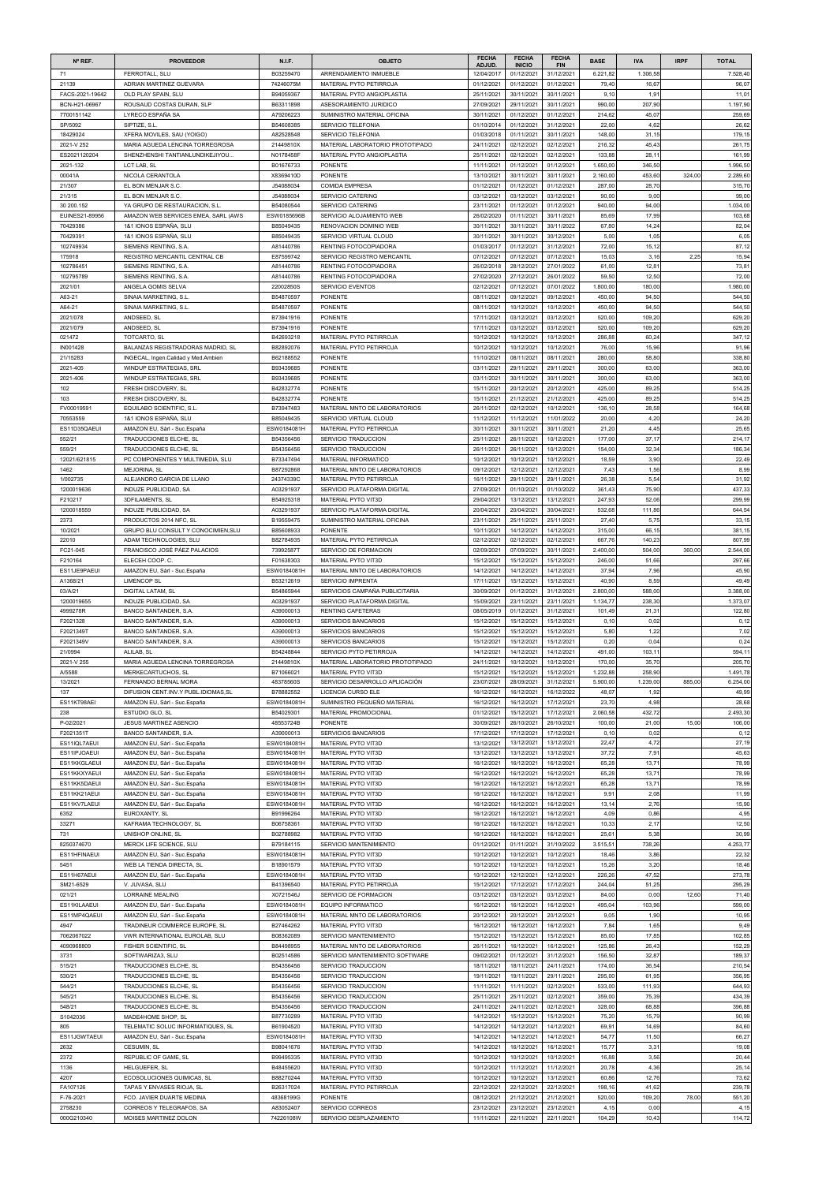| Nº REF.                      | <b>PROVEEDOR</b>                                               | <b>N.I.F.</b>              | <b>OBJETO</b>                                              | <b>FECHA</b>             | <b>FECHA</b>             | <b>FECHA</b>             | <b>BASE</b>       | <b>IVA</b>        | <b>IRPF</b> | <b>TOTAL</b>      |
|------------------------------|----------------------------------------------------------------|----------------------------|------------------------------------------------------------|--------------------------|--------------------------|--------------------------|-------------------|-------------------|-------------|-------------------|
|                              |                                                                |                            |                                                            | ADJUD.                   | <b>INICIO</b>            | <b>FIN</b><br>31/12/2021 |                   |                   |             |                   |
| 71<br>21139                  | FERROTALL, SLU<br>ADRIAN MARTINEZ GUEVARA                      | B03259470<br>74246075M     | ARRENDAMIENTO INMUEBLE<br>MATERIAL PYTO PETIRROJA          | 12/04/2017<br>01/12/2021 | 01/12/2021<br>01/12/2021 | 01/12/2021               | 6.221,8<br>79,40  | 1.306,58<br>16,67 |             | 7.528,40<br>96,07 |
| FACS-2021-19642              | OLD PLAY SPAIN, SLU                                            | B94059367                  | MATERIAL PYTO ANGIOPLASTIA                                 | 25/11/2021               | 30/11/2021               | 30/11/2021               | 9,10              | 1,91              |             | 11,01             |
| BCN-H21-06967                | ROUSAUD COSTAS DURAN, SLP                                      | B63311898                  | ASESORAMIENTO JURIDICO                                     | 27/09/2021               | 29/11/2021               | 30/11/2021               | 990,00            | 207,90            |             | 1.197,90          |
| 7700151142                   | LYRECO ESPAÑA SA                                               | A79206223                  | SUMINISTRO MATERIAL OFICINA                                | 30/11/2021               | 01/12/2021               | 01/12/2021               | 214,62            | 45,07             |             | 259,69            |
| SP/5092<br>18429024          | SIPTIZE, S.L.                                                  | B54608385<br>A82528548     | SERVICIO TELEFONIA<br>SERVICIO TELEFONIA                   | 01/10/2014               | 01/12/2021<br>01/11/2021 | 31/12/2021<br>30/11/2021 | 22,00<br>148,00   | 4,62<br>31,15     |             | 26,62<br>179,15   |
| 2021-V 252                   | XFERA MOVILES, SAU (YOIGO)<br>MARIA AGUEDA LENCINA TORREGROSA  | 21449810X                  | MATERIAL LABORATORIO PROTOTIPADO                           | 01/03/2018<br>24/11/2021 | 02/12/2021               | 02/12/2021               | 216,32            | 45,43             |             | 261,75            |
| ES2021120204                 | SHENZHENSHI TANTIANLUNDIKEJIYOU                                | N0178458F                  | MATERIAL PYTO ANGIOPLASTIA                                 | 25/11/2021               | 02/12/2021               | 02/12/2021               | 133,88            | 28,11             |             | 161,99            |
| 2021-132                     | LCT LAB. SL                                                    | B01676733                  | <b>PONENTE</b>                                             | 11/11/2021               | 01/12/2021               | 01/12/2021               | 1.650,00          | 346,50            |             | 1.996,50          |
| 00041A                       | NICOLA CERANTOLA                                               | X8369410D                  | <b>PONENTE</b>                                             | 13/10/2021               | 30/11/2021               | 30/11/2021               | 2.160,00          | 453,60            | 324,00      | 2.289,60          |
| 21/307                       | EL BON MENJAR S.C.                                             | J54088034                  | <b>COMIDA EMPRESA</b>                                      | 01/12/2021               | 01/12/2021               | 01/12/2021               | 287,00            | 28,70             |             | 315,70            |
| 21/315<br>30 200.152         | EL BON MENJAR S.C.<br>YA GRUPO DE RESTAURACION, S.L.           | J54088034<br>B54080544     | SERVICIO CATERING<br>SERVICIO CATERING                     | 03/12/2021<br>23/11/2021 | 03/12/2021<br>01/12/2021 | 03/12/2021<br>01/12/2021 | 90,00<br>940,00   | 9,00<br>94,00     |             | 99,00<br>1.034,00 |
| EUINES21-89956               | AMAZON WEB SERVICES EMEA, SARL (AWS                            | ESW0185696B                | SERVICIO ALOJAMIENTO WEB                                   | 26/02/2020               | 01/11/2021               | 30/11/2021               | 85,69             | 17,99             |             | 103,68            |
| 70429386                     | 1&1 IONOS ESPAÑA, SLU                                          | B85049435                  | RENOVACION DOMINIO WEB                                     | 30/11/2021               | 30/11/2021               | 30/11/2022               | 67,80             | 14,24             |             | 82,04             |
| 70429391                     | 1&1 IONOS ESPAÑA, SLU                                          | B85049435                  | SERVICIO VIRTUAL CLOUD                                     | 30/11/2021               | 30/11/2021               | 30/12/2021               | 5,00              | 1,05              |             | 6,05              |
| 102749934                    | SIEMENS RENTING, S.A.                                          | A81440786                  | RENTING FOTOCOPIADORA                                      | 01/03/2017               | 01/12/2021               | 31/12/2021               | 72,00             | 15,12             |             | 87,12             |
| 175918<br>102786451          | REGISTRO MERCANTIL CENTRAL CB<br>SIEMENS RENTING, S.A.         | E87599742<br>A81440786     | SERVICIO REGISTRO MERCANTIL<br>RENTING FOTOCOPIADORA       | 07/12/2021<br>26/02/2018 | 07/12/2021<br>28/12/2021 | 07/12/2021<br>27/01/2022 | 15,03<br>61,00    | 3,16<br>12,81     | 2,25        | 15,94<br>73,81    |
| 102795789                    | SIEMENS RENTING, S.A.                                          | A81440786                  | RENTING FOTOCOPIADORA                                      | 27/02/2020               | 27/12/2021               | 26/01/2022               | 59,5              | 12,50             |             | 72,00             |
| 2021/01                      | ANGELA GOMIS SELVA                                             | 22002850S                  | SERVICIO EVENTOS                                           | 02/12/2021               | 07/12/2021               | 07/01/2022               | 1.800,00          | 180,00            |             | 1.980,00          |
| A63-21                       | SINAIA MARKETING, S.L.                                         | B54870597                  | <b>PONENTE</b>                                             | 08/11/2021               | 09/12/2021               | 09/12/2021               | 450,00            | 94,50             |             | 544,50            |
| A64-21                       | SINAIA MARKETING, S.L.                                         | B54870597                  | <b>PONENTE</b>                                             | 08/11/2021               | 10/12/2021               | 10/12/2021               | 450,00            | 94,50             |             | 544,50            |
| 2021/078<br>2021/079         | ANDSEED, SL<br>ANDSEED, SL                                     | B73941916<br>B73941916     | <b>PONENTE</b><br><b>PONENTE</b>                           | 17/11/2021<br>17/11/2021 | 03/12/2021<br>03/12/2021 | 03/12/2021<br>03/12/2021 | 520,00<br>520,00  | 109,20<br>109,20  |             | 629,20<br>629,20  |
| 021472                       | TOTCARTO, SL                                                   | B42693218                  | MATERIAL PYTO PETIRROJA                                    | 10/12/2021               | 10/12/2021               | 10/12/2021               | 286,88            | 60,24             |             | 347,12            |
| IN001428                     | BALANZAS REGISTRADORAS MADRID, SL                              | B82892076                  | MATERIAL PYTO PETIRROJA                                    | 10/12/2021               | 10/12/2021               | 10/12/2021               | 76,00             | 15,96             |             | 91,96             |
| 21/15283                     | INGECAL, Ingen.Calidad y Med.Ambien                            | B62188552                  | <b>PONENTE</b>                                             | 11/10/2021               | 08/11/2021               | 08/11/2021               | 280,00            | 58,80             |             | 338,80            |
| 2021-405                     | WINDUP ESTRATEGIAS, SRL                                        | B93439685                  | <b>PONENTE</b>                                             | 03/11/2021               | 29/11/2021               | 29/11/2021               | 300,00            | 63,00             |             | 363,00            |
| 2021-406<br>102              | WINDUP ESTRATEGIAS, SRL                                        | B93439685<br>B42832774     | <b>PONENTE</b>                                             | 03/11/2021<br>15/11/2021 | 30/11/2021<br>20/12/2021 | 30/11/2021               | 300,00<br>425,00  | 63,00<br>89,25    |             | 363,00<br>514,25  |
| 103                          | FRESH DISCOVERY, SL<br>FRESH DISCOVERY, SL                     | B42832774                  | <b>PONENTE</b><br><b>PONENTE</b>                           | 15/11/2021               | 21/12/2021               | 20/12/2021<br>21/12/2021 | 425,00            | 89,25             |             | 514,25            |
| FV00019591                   | EQUILABO SCIENTIFIC, S.L.                                      | B73947483                  | MATERIAL MNTO DE LABORATORIOS                              | 26/11/2021               | 02/12/2021               | 10/12/2021               | 136,10            | 28,58             |             | 164,68            |
| 70553559                     | 1&1 IONOS ESPAÑA, SLU                                          | B85049435                  | SERVICIO VIRTUAL CLOUD                                     | 11/12/2021               | 11/12/2021               | 11/01/2022               | 20,00             | 4,20              |             | 24,20             |
| ES11D35QAEUI                 | AMAZON EU, Sàrl - Suc.España                                   | ESW0184081H                | MATERIAL PYTO PETIRROJA                                    | 30/11/2021               | 30/11/2021               | 30/11/2021               | 21,20             | 4,45              |             | 25,65             |
| 552/21                       | TRADUCCIONES ELCHE, SL                                         | B54356456                  | SERVICIO TRADUCCION                                        | 25/11/2021               | 26/11/2021               | 10/12/2021               | 177,00            | 37,17             |             | 214,17            |
| 559/21<br>12021/621815       | TRADUCCIONES ELCHE, SL<br>PC COMPONENTES Y MULTIMEDIA, SLU     | B54356456<br>B73347494     | SERVICIO TRADUCCION<br>MATERIAL INFORMATICO                | 26/11/2021<br>10/12/2021 | 26/11/2021<br>10/12/2021 | 10/12/2021<br>10/12/2021 | 154,00<br>18,59   | 32,34<br>3,90     |             | 186,34<br>22,49   |
| 1462                         | <b>MEJORINA, SL</b>                                            | B87292868                  | MATERIAL MNTO DE LABORATORIOS                              | 09/12/2021               | 12/12/2021               | 12/12/2021               | 7,43              | 1,56              |             | 8,99              |
| 1/002735                     | ALEJANDRO GARCIA DE LLANO                                      | 24374339C                  | MATERIAL PYTO PETIRROJA                                    | 16/11/2021               | 29/11/2021               | 29/11/2021               | 26,38             | 5,54              |             | 31,92             |
| 1200019636                   | INDUZE PUBLICIDAD, SA                                          | A03291937                  | SERVICIO PLATAFORMA DIGITAL                                | 27/09/2021               | 01/10/2021               | 01/10/2022               | 361,43            | 75,90             |             | 437,33            |
| F210217                      | 3DFILAMENTS, SL                                                | B54925318                  | MATERIAL PYTO VIT3D                                        | 29/04/2021               | 13/12/2021               | 13/12/2021               | 247,93            | 52,06             |             | 299,99            |
| 1200018559<br>2373           | <b>INDUZE PUBLICIDAD, SA</b><br>PRODUCTOS 2014 NFC, SL         | A03291937<br>B19559475     | SERVICIO PLATAFORMA DIGITAL<br>SUMINISTRO MATERIAL OFICINA | 20/04/2021<br>23/11/2021 | 20/04/2021<br>25/11/2021 | 30/04/2021<br>25/11/2021 | 532,68<br>27,40   | 111,86<br>5,75    |             | 644,54<br>33,15   |
| 10/2021                      | GRUPO BLU CONSULT Y CONOCIMIEN, SLU                            | B85608933                  | <b>PONENTE</b>                                             | 10/11/2021               | 14/12/2021               | 14/12/2021               | 315,00            | 66,15             |             | 381,15            |
| 22010                        | ADAM TECHNOLOGIES, SLU                                         | B82784935                  | MATERIAL PYTO PETIRROJA                                    | 02/12/2021               | 02/12/2021               | 02/12/2021               | 667,76            | 140,23            |             | 807,99            |
| FC21-045                     | FRANCISCO JOSÉ PÁEZ PALACIOS                                   | 73992587T                  | SERVICIO DE FORMACION                                      | 02/09/2021               | 07/09/2021               | 30/11/2021               | 2.400,00          | 504,00            | 360,00      | 2.544,00          |
| F210164                      | ELECEH COOP, C.                                                | F01638303                  | MATERIAL PYTO VIT3D                                        | 15/12/2021               | 15/12/2021               | 15/12/2021               | 246,00            | 51,66             |             | 297,66            |
| ES11JE9PAEUI<br>A1368/21     | AMAZON EU, Sàrl - Suc.España<br><b>LIMENCOP SL</b>             | ESW0184081H<br>B53212619   | MATERIAL MNTO DE LABORATORIOS<br><b>SERVICIO IMPRENTA</b>  | 14/12/2021<br>17/11/2021 | 14/12/2021<br>15/12/2021 | 14/12/2021<br>15/12/2021 | 37,94<br>40,90    | 7,96<br>8,59      |             | 45,90<br>49,49    |
| 03/A/21                      | <b>DIGITAL LATAM, SL</b>                                       | B54865944                  | SERVICIOS CAMPAÑA PUBLICITARIA                             | 30/09/2021               | 01/12/2021               | 31/12/2021               | 2.800,00          | 588,00            |             | 3.388,00          |
| 1200019655                   | INDUZE PUBLICIDAD, SA                                          | A03291937                  | SERVICIO PLATAFORMA DIGITAL                                | 15/09/2021               | 23/11/2021               | 23/11/2021               | 1.134,7           | 238,30            |             | 1.373,07          |
| 4999278R                     | BANCO SANTANDER, S.A.                                          | A39000013                  | <b>RENTING CAFETERAS</b>                                   | 08/05/2019               | 01/12/2021               | 31/12/2021               | 101,49            | 21,31             |             | 122,80            |
| F2021328                     | BANCO SANTANDER, S.A.                                          | A39000013                  | <b>SERVICIOS BANCARIOS</b>                                 | 15/12/2021               | 15/12/2021               | 15/12/2021               | 0, 10             | 0,02              |             | 0,12              |
| F2021349T<br>F2021349V       | BANCO SANTANDER, S.A.<br>BANCO SANTANDER, S.A.                 | A39000013<br>A39000013     | <b>SERVICIOS BANCARIOS</b>                                 | 15/12/2021<br>15/12/2021 | 15/12/2021<br>15/12/2021 | 15/12/2021<br>15/12/2021 | 5,80<br>0,20      | 1,22<br>0,04      |             | 7,02<br>0,24      |
| 21/0994                      | ALILAB, SL                                                     | B54248844                  | <b>SERVICIOS BANCARIOS</b><br>SERVICIO PYTO PETIRROJA      | 14/12/2021               | 14/12/2021               | 14/12/2021               | 491,00            | 103,11            |             | 594,11            |
| 2021-V 255                   | MARIA AGUEDA LENCINA TORREGROSA                                | 21449810X                  | MATERIAL LABORATORIO PROTOTIPADO                           | 24/11/2021               | 10/12/2021               | 10/12/2021               | 170,00            | 35,70             |             | 205,70            |
| A/5588                       | MERKECARTUCHOS, SL                                             | B71066021                  | MATERIAL PYTO VIT3D                                        | 15/12/2021               | 15/12/2021               | 15/12/2021               | 1.232,88          | 258,90            |             | 1.491,78          |
| 13/2021                      | FERNANDO BERNAL MORA                                           | 48378560S                  | SERVICIO DESARROLLO APLICACIÓN                             | 23/07/2021               | 28/09/2021               | 31/12/2021               | 5.900,00          | 1.239,00          | 885,00      | 6.254,00          |
| 137                          | DIFUSION CENT.INV.Y PUBL.IDIOMAS, SL                           | B78882552                  | LICENCIA CURSO ELE                                         | 16/12/2021               | 16/12/2021               | 16/12/2022               | 48,07             | 1,92              |             | 49,99             |
| ES11KT98AEI<br>238           | AMAZON EU, Sàrl - Suc. España<br>ESTUDIO GLO, SL               | ESW0184081H<br>B54029301   | SUMINISTRO PEQUEÑO MATERIAL<br>MATERIAL PROMOCIONAL        | 16/12/2021<br>01/12/2021 | 16/12/2021<br>15/12/2021 | 17/12/2021<br>17/12/2021 | 23,70<br>2.060,58 | 4,98<br>432,72    |             | 28,68<br>2.493,30 |
| P-02/2021                    | JESUS MARTINEZ ASENCIO                                         | 48553724B                  | <b>PONENTE</b>                                             | 30/09/2021               | 26/10/2021               | 26/10/2021               | 100,00            | 21,00             | 15,00       | 106,00            |
| F2021351T                    | BANCO SANTANDER, S.A.                                          | A39000013                  | SERVICIOS BANCARIOS                                        | 17/12/2021               | 17/12/2021               | 17/12/2021               | 0,10              | 0,02              |             | 0,12              |
| ES11IQL7AEUI                 | AMAZON EU, Sàrl - Suc.España                                   | ESW0184081H                | MATERIAL PYTO VIT3D                                        | 13/12/2021               | 13/12/2021               | 13/12/2021               | 22,47             | 4,72              |             | 27,19             |
| ES11IPJOAEUI                 | AMAZON EU, Sàrl - Suc.España                                   | ESW0184081H                | MATERIAL PYTO VIT3D<br>MATERIAL PYTO VIT3D                 | 13/12/2021               | 13/12/2021               | 13/12/2021               | 37,72             | 7,91<br>13,71     |             | 45,63<br>78,99    |
| ES11KKGLAEUI<br>ES11KKXYAEUI | AMAZON EU, Sàrl - Suc.España<br>AMAZON EU, Sàrl - Suc.España   | ESW0184081H<br>ESW0184081H | MATERIAL PYTO VIT3D                                        | 16/12/2021<br>16/12/2021 | 16/12/2021<br>16/12/2021 | 16/12/2021<br>16/12/2021 | 65,28<br>65,28    | 13,71             |             | 78,99             |
| ES11KK5DAEUI                 | AMAZON EU, Sàrl - Suc.España                                   | ESW0184081H                | <b>MATERIAL PYTO VIT3D</b>                                 | 16/12/2021               | 16/12/2021               | 16/12/2021               | 65,28             | 13,71             |             | 78,99             |
| ES11KK21AEUI                 | AMAZON EU, Sàrl - Suc.España                                   | ESW0184081H                | MATERIAL PYTO VIT3D                                        | 16/12/2021               | 16/12/2021               | 16/12/2021               | 9,91              | 2,08              |             | 11,99             |
| ES11KV7LAEUI                 | AMAZON EU, Sàrl - Suc.España                                   | ESW0184081H                | MATERIAL PYTO VIT3D                                        | 16/12/2021               | 16/12/2021               | 16/12/2021               | 13,14             | 2,76              |             | 15,90             |
| 6352<br>33271                | EUROXANTY, SL<br>KAFRAMA TECHNOLOGY, SL                        | B91996264<br>B06758361     | MATERIAL PYTO VIT3D<br>MATERIAL PYTO VIT3D                 | 16/12/2021<br>16/12/2021 | 16/12/2021<br>16/12/2021 | 16/12/2021<br>16/12/2021 | 4,09<br>10,33     | 0,86<br>2,17      |             | 4,95<br>12,50     |
| 731                          | UNISHOP ONLINE, SL                                             | B02788982                  | MATERIAL PYTO VIT3D                                        | 16/12/2021               | 16/12/2021               | 16/12/2021               | 25,6              | 5,38              |             | 30,99             |
| 8250374670                   | MERCK LIFE SCIENCE, SLU                                        | B79184115                  | SERVICIO MANTENIMIENTO                                     | 01/12/2021               | 01/11/2021               | 31/10/2022               | 3.515.5           | 738,26            |             | 4.253,77          |
| ES11HFINAEUI                 | AMAZON EU, Sàrl - Suc.España                                   | ESW0184081H                | MATERIAL PYTO VIT3D                                        | 10/12/2021               | 10/12/2021               | 10/12/2021               | 18,46             | 3,86              |             | 22,32             |
| 5451                         | WEB LA TIENDA DIRECTA, SL                                      | B18901579                  | MATERIAL PYTO VIT3D                                        | 10/12/2021               | 10/12/2021               | 10/12/2021               | 15,26             | 3,20              |             | 18,46             |
| ES11H67AEUI<br>SM21-6529     | AMAZON EU, Sàrl - Suc.España<br>V. JUVASA, SLU                 | ESW0184081H<br>B41396540   | MATERIAL PYTO VIT3D<br>MATERIAL PYTO PETIRROJA             | 10/12/2021<br>15/12/2021 | 12/12/2021<br>17/12/2021 | 12/12/2021<br>17/12/2021 | 226,26<br>244,04  | 47,52<br>51,25    |             | 273,78<br>295,29  |
| 021/21                       | <b>LORRAINE MEALING</b>                                        | X0721546J                  | SERVICIO DE FORMACION                                      | 03/12/2021               | 03/12/2021               | 03/12/2021               | 84,00             | 0,00              | 12,60       | 71,40             |
| ES11KILAAEUI                 | AMAZON EU, Sàrl - Suc.España                                   | ESW0184081H                | <b>EQUIPO INFORMATICO</b>                                  | 16/12/2021               | 16/12/2021               | 16/12/2021               | 495,04            | 103,96            |             | 599,00            |
| ES11MP4QAEUI                 | AMAZON EU, Sàrl - Suc. España                                  | ESW0184081H                | MATERIAL MNTO DE LABORATORIOS                              | 20/12/2021               | 20/12/2021               | 20/12/2021               | 9,05              | 1,90              |             | 10,95             |
| 4947                         | TRADINEUR COMMERCE EUROPE, SL                                  | B27464262                  | <b>MATERIAL PYTO VIT3D</b>                                 | 16/12/2021               | 16/12/2021               | 16/12/2021               | 7,84              | 1,65              |             | 9,49              |
| 7062067022<br>4090968809     | VWR INTERNATIONAL EUROLAB. SLU<br><b>FISHER SCIENTIFIC, SL</b> | B08362089<br>B84498955     | SERVICIO MANTENIMIENTO<br>MATERIAL MNTO DE LABORATORIOS    | 15/12/2021<br>26/11/2021 | 15/12/2021<br>16/12/2021 | 15/12/2021<br>16/12/2021 | 85,00<br>125,86   | 17,85<br>26,43    |             | 102,85<br>152,29  |
| 3731                         | SOFTWARIZA3, SLU                                               | B02514586                  | SERVICIO MANTENIMIENTO SOFTWARE                            | 09/02/2021               | 01/12/2021               | 31/12/2021               | 156,50            | 32,87             |             | 189,37            |
| 515/21                       | TRADUCCIONES ELCHE, SL                                         | B54356456                  | SERVICIO TRADUCCION                                        | 18/11/2021               | 18/11/2021               | 24/11/2021               | 174,00            | 36,54             |             | 210,54            |
| 530/21                       | <b>TRADUCCIONES ELCHE. SL</b>                                  | B54356456                  | SERVICIO TRADUCCION                                        | 19/11/2021               | 19/11/2021               | 29/11/2021               | 295,00            | 61,95             |             | 356,95            |
| 544/21                       | TRADUCCIONES ELCHE, SL                                         | B54356456                  | SERVICIO TRADUCCION                                        | 11/11/2021               | 11/11/2021               | 02/12/2021               | 533,00            | 111,93            |             | 644,93            |
| 545/21<br>548/21             | TRADUCCIONES ELCHE, SL<br>TRADUCCIONES ELCHE, SL               | B54356456<br>B54356456     | SERVICIO TRADUCCION<br>SERVICIO TRADUCCION                 | 25/11/2021<br>24/11/2021 | 25/11/2021<br>24/11/2021 | 02/12/2021<br>02/12/2021 | 359,00<br>328,00  | 75,39<br>68,88    |             | 434,39<br>396,88  |
| S1042036                     | MADE4HOME SHOP, SL                                             | B87730289                  | MATERIAL PYTO VIT3D                                        | 14/12/2021               | 15/12/2021               | 15/12/2021               | 75,20             | 15,79             |             | 90,99             |
| 805                          | TELEMATIC SOLUC INFORMATIQUES, SL                              | B61904520                  | MATERIAL PYTO VIT3D                                        | 14/12/2021               | 14/12/2021               | 14/12/2021               | 69,91             | 14,69             |             | 84,60             |
| ES11JGWTAEUI                 | AMAZON EU, Sàrl - Suc.España                                   | ESW0184081H                | MATERIAL PYTO VIT3D                                        | 14/12/2021               | 14/12/2021               | 14/12/2021               | 54,77             | 11,50             |             | 66,27             |
| 2632                         | CESUMIN, SL                                                    | B98041676                  | MATERIAL PYTO VIT3D                                        | 14/12/2021               | 16/12/2021               | 16/12/2021               | 15,77             | 3,31              |             | 19,08             |
| 2372<br>1136                 | REPUBLIC OF GAME, SL<br>HELGUEFER, SL                          | B99495335<br>B48455620     | MATERIAL PYTO VIT3D<br>MATERIAL PYTO VIT3D                 | 10/12/2021<br>10/12/2021 | 10/12/2021<br>11/12/2021 | 10/12/2021<br>11/12/2021 | 16,88<br>20,78    | 3,56<br>4,36      |             | 20,44<br>25,14    |
| 4207                         | ECOSOLUCIONES QUIMICAS, SL                                     | B88270244                  | MATERIAL PYTO VIT3D                                        | 10/12/2021               | 10/12/2021               | 13/12/2021               | 60,86             | 12,76             |             | 73,62             |
| FA107126                     | TAPAS Y ENVASES RIOJA, SL                                      | B26317024                  | MATERIAL PYTO PETIRROJA                                    | 22/12/2021               | 22/12/2021               | 22/12/2021               | 198,16            | 41,62             |             | 239,78            |
| F-76-2021                    | FCO. JAVIER DUARTE MEDINA                                      | 48368199G                  | <b>PONENTE</b>                                             | 08/12/2021               | 21/12/2021               | 21/12/2021               | 520,00            | 109,20            | 78,00       | 551,20            |
| 2758230                      | CORREOS Y TELEGRAFOS, SA                                       | A83052407                  | SERVICIO CORREOS                                           | 23/12/2021               | 23/12/2021               | 23/12/2021               | 4,15              | 0,00              |             | 4,15              |
| 000G210340                   | MOISES MARTINEZ DOLON                                          | 74226108W                  | SERVICIO DESPLAZAMIENTO                                    | 11/11/2021               | 22/11/2021               | 22/11/2021               | 104,29            | 10,43             |             | 114,72            |